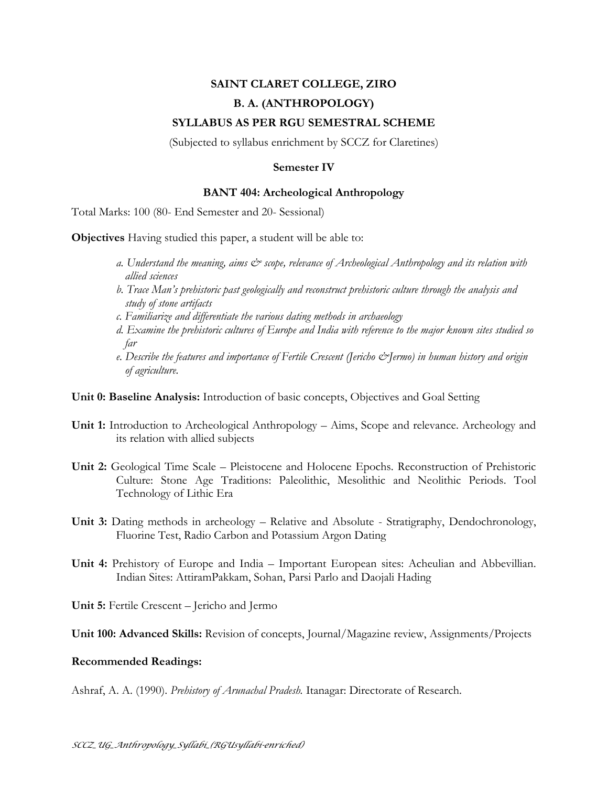## **SAINT CLARET COLLEGE, ZIRO B. A. (ANTHROPOLOGY) SYLLABUS AS PER RGU SEMESTRAL SCHEME**

(Subjected to syllabus enrichment by SCCZ for Claretines)

## **Semester IV**

## **BANT 404: Archeological Anthropology**

Total Marks: 100 (80- End Semester and 20- Sessional)

**Objectives** Having studied this paper, a student will be able to:

- *a. Understand the meaning, aims & scope, relevance of Archeological Anthropology and its relation with allied sciences*
- *b. Trace Man's prehistoric past geologically and reconstruct prehistoric culture through the analysis and study of stone artifacts*
- *c. Familiarize and differentiate the various dating methods in archaeology*
- *d. Examine the prehistoric cultures of Europe and India with reference to the major known sites studied so far*
- *e. Describe the features and importance of Fertile Crescent (Jericho &Jermo) in human history and origin of agriculture.*

**Unit 0: Baseline Analysis:** Introduction of basic concepts, Objectives and Goal Setting

- **Unit 1:** Introduction to Archeological Anthropology Aims, Scope and relevance. Archeology and its relation with allied subjects
- **Unit 2:** Geological Time Scale Pleistocene and Holocene Epochs. Reconstruction of Prehistoric Culture: Stone Age Traditions: Paleolithic, Mesolithic and Neolithic Periods. Tool Technology of Lithic Era
- **Unit 3:** Dating methods in archeology Relative and Absolute Stratigraphy, Dendochronology, Fluorine Test, Radio Carbon and Potassium Argon Dating
- **Unit 4:** Prehistory of Europe and India Important European sites: Acheulian and Abbevillian. Indian Sites: AttiramPakkam, Sohan, Parsi Parlo and Daojali Hading

**Unit 5:** Fertile Crescent – Jericho and Jermo

**Unit 100: Advanced Skills:** Revision of concepts, Journal/Magazine review, Assignments/Projects

## **Recommended Readings:**

Ashraf, A. A. (1990). *Prehistory of Arunachal Pradesh.* Itanagar: Directorate of Research.